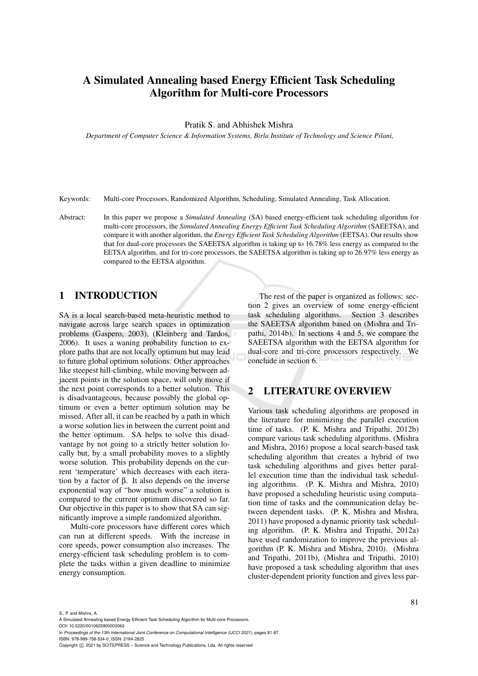# A Simulated Annealing based Energy Efficient Task Scheduling Algorithm for Multi-core Processors

#### Pratik S. and Abhishek Mishra

*Department of Computer Science & Information Systems, Birla Institute of Technology and Science Pilani,*

Keywords: Multi-core Processors, Randomized Algorithm, Scheduling, Simulated Annealing, Task Allocation.

Abstract: In this paper we propose a *Simulated Annealing* (SA) based energy-efficient task scheduling algorithm for multi-core processors, the *Simulated Annealing Energy Efficient Task Scheduling Algorithm* (SAEETSA), and compare it with another algorithm, the *Energy Efficient Task Scheduling Algorithm* (EETSA). Our results show that for dual-core processors the SAEETSA algorithm is taking up to 16.78% less energy as compared to the EETSA algorithm, and for tri-core processors, the SAEETSA algorithm is taking up to 26.97% less energy as compared to the EETSA algorithm.

### 1 INTRODUCTION

SA is a local search-based meta-heuristic method to navigate across large search spaces in optimization problems (Gaspero, 2003), (Kleinberg and Tardos, 2006). It uses a waning probability function to explore paths that are not locally optimum but may lead to future global optimum solutions. Other approaches like steepest hill-climbing, while moving between adjacent points in the solution space, will only move if the next point corresponds to a better solution. This is disadvantageous, because possibly the global optimum or even a better optimum solution may be missed. After all, it can be reached by a path in which a worse solution lies in between the current point and the better optimum. SA helps to solve this disadvantage by not going to a strictly better solution locally but, by a small probability moves to a slightly worse solution. This probability depends on the current 'temperature' which decreases with each iteration by a factor of β. It also depends on the inverse exponential way of "how much worse" a solution is compared to the current optimum discovered so far. Our objective in this paper is to show that SA can significantly improve a simple randomized algorithm.

Multi-core processors have different cores which can run at different speeds. With the increase in core speeds, power consumption also increases. The energy-efficient task scheduling problem is to complete the tasks within a given deadline to minimize energy consumption.

The rest of the paper is organized as follows: section 2 gives an overview of some energy-efficient task scheduling algorithms. Section 3 describes the SAEETSA algorithm based on (Mishra and Tripathi, 2014b). In sections 4 and 5, we compare the SAEETSA algorithm with the EETSA algorithm for dual-core and tri-core processors respectively. We conclude in section 6.

## 2 LITERATURE OVERVIEW

Various task scheduling algorithms are proposed in the literature for minimizing the parallel execution time of tasks. (P. K. Mishra and Tripathi, 2012b) compare various task scheduling algorithms. (Mishra and Mishra, 2016) propose a local search-based task scheduling algorithm that creates a hybrid of two task scheduling algorithms and gives better parallel execution time than the individual task scheduling algorithms. (P. K. Mishra and Mishra, 2010) have proposed a scheduling heuristic using computation time of tasks and the communication delay between dependent tasks. (P. K. Mishra and Mishra, 2011) have proposed a dynamic priority task scheduling algorithm. (P. K. Mishra and Tripathi, 2012a) have used randomization to improve the previous algorithm (P. K. Mishra and Mishra, 2010). (Mishra and Tripathi, 2011b), (Mishra and Tripathi, 2010) have proposed a task scheduling algorithm that uses cluster-dependent priority function and gives less par-

S., P. and Mishra, A.

DOI: 10.5220/0010625900003063

A Simulated Annealing based Energy Efficient Task Scheduling Algorithm for Multi-core Processors.

In *Proceedings of the 13th International Joint Conference on Computational Intelligence (IJCCI 2021)*, pages 81-87 ISBN: 978-989-758-534-0; ISSN: 2184-2825

Copyright (C) 2021 by SCITEPRESS - Science and Technology Publications, Lda. All rights reserved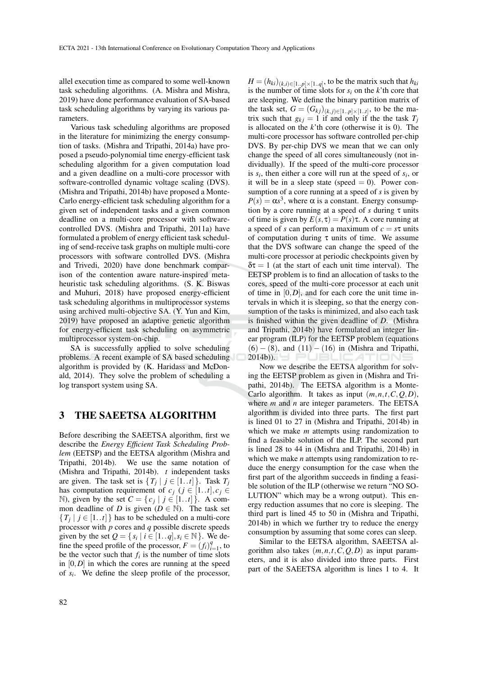allel execution time as compared to some well-known task scheduling algorithms. (A. Mishra and Mishra, 2019) have done performance evaluation of SA-based task scheduling algorithms by varying its various parameters.

Various task scheduling algorithms are proposed in the literature for minimizing the energy consumption of tasks. (Mishra and Tripathi, 2014a) have proposed a pseudo-polynomial time energy-efficient task scheduling algorithm for a given computation load and a given deadline on a multi-core processor with software-controlled dynamic voltage scaling (DVS). (Mishra and Tripathi, 2014b) have proposed a Monte-Carlo energy-efficient task scheduling algorithm for a given set of independent tasks and a given common deadline on a multi-core processor with softwarecontrolled DVS. (Mishra and Tripathi, 2011a) have formulated a problem of energy efficient task scheduling of send-receive task graphs on multiple multi-core processors with software controlled DVS. (Mishra and Trivedi, 2020) have done benchmark comparison of the contention aware nature-inspired metaheuristic task scheduling algorithms. (S. K. Biswas and Muhuri, 2018) have proposed energy-efficient task scheduling algorithms in multiprocessor systems using archived multi-objective SA. (Y. Yun and Kim, 2019) have proposed an adaptive genetic algorithm for energy-efficient task scheduling on asymmetric multiprocessor system-on-chip.

SA is successfully applied to solve scheduling problems. A recent example of SA based scheduling algorithm is provided by (K. Haridass and McDonald, 2014). They solve the problem of scheduling a log transport system using SA.

#### 3 THE SAEETSA ALGORITHM

Before describing the SAEETSA algorithm, first we describe the *Energy Efficient Task Scheduling Problem* (EETSP) and the EETSA algorithm (Mishra and Tripathi, 2014b). We use the same notation of (Mishra and Tripathi, 2014b). *t* independent tasks are given. The task set is  $\{T_j \mid j \in [1..t]\}$ . Task  $T_j$ has computation requirement of  $c_j$  ( $j \in [1..t], c_j \in$ N), given by the set  $C = \{c_j | j \in [1..t]\}$ . A common deadline of *D* is given ( $D \in \mathbb{N}$ ). The task set  ${T_j | j \in [1..t]}$  has to be scheduled on a multi-core processor with *p* cores and *q* possible discrete speeds given by the set  $Q = \{ s_i \mid i \in [1..q], s_i \in \mathbb{N} \}$ . We define the speed profile of the processor,  $F = (f_i)_i^q$  $_{i=1}^q$ , to be the vector such that  $f_i$  is the number of time slots in [0,*D*] in which the cores are running at the speed of *s<sup>i</sup>* . We define the sleep profile of the processor,

 $H = (h_{ki})_{(k,i) \in [1..p] \times [1..q]}$ , to be the matrix such that  $h_{ki}$ is the number of time slots for  $s_i$  on the  $k$ 'th core that are sleeping. We define the binary partition matrix of the task set,  $G = (G_{kj})_{(k,j) \in [1..p] \times [1..t]}$ , to be the matrix such that  $g_{kj} = 1$  if and only if the the task  $T_j$ is allocated on the *k*'th core (otherwise it is 0). The multi-core processor has software controlled per-chip DVS. By per-chip DVS we mean that we can only change the speed of all cores simultaneously (not individually). If the speed of the multi-core processor is  $s_i$ , then either a core will run at the speed of  $s_i$ , or it will be in a sleep state (speed  $= 0$ ). Power consumption of a core running at a speed of *s* is given by  $P(s) = \alpha s^3$ , where  $\alpha$  is a constant. Energy consumption by a core running at a speed of *s* during τ units of time is given by  $E(s, \tau) = P(s)\tau$ . A core running at a speed of *s* can perform a maximum of *c* = *s*τ units of computation during  $\tau$  units of time. We assume that the DVS software can change the speed of the multi-core processor at periodic checkpoints given by  $\delta \tau = 1$  (at the start of each unit time interval). The EETSP problem is to find an allocation of tasks to the cores, speed of the multi-core processor at each unit of time in  $[0, D]$ , and for each core the unit time intervals in which it is sleeping, so that the energy consumption of the tasks is minimized, and also each task is finished within the given deadline of *D*. (Mishra and Tripathi, 2014b) have formulated an integer linear program (ILP) for the EETSP problem (equations  $(6) - (8)$ , and  $(11) - (16)$  in (Mishra and Tripathi,  $2014b)$ ). ÆТ

Now we describe the EETSA algorithm for solving the EETSP problem as given in (Mishra and Tripathi, 2014b). The EETSA algorithm is a Monte-Carlo algorithm. It takes as input (*m*,*n*,*t*,*C*,*Q*,*D*), where *m* and *n* are integer parameters. The EETSA algorithm is divided into three parts. The first part is lined 01 to 27 in (Mishra and Tripathi, 2014b) in which we make *m* attempts using randomization to find a feasible solution of the ILP. The second part is lined 28 to 44 in (Mishra and Tripathi, 2014b) in which we make *n* attempts using randomization to reduce the energy consumption for the case when the first part of the algorithm succeeds in finding a feasible solution of the ILP (otherwise we return "NO SO-LUTION" which may be a wrong output). This energy reduction assumes that no core is sleeping. The third part is lined 45 to 50 in (Mishra and Tripathi, 2014b) in which we further try to reduce the energy consumption by assuming that some cores can sleep.

Similar to the EETSA algorithm, SAEETSA algorithm also takes  $(m, n, t, C, Q, D)$  as input parameters, and it is also divided into three parts. First part of the SAEETSA algorithm is lines 1 to 4. It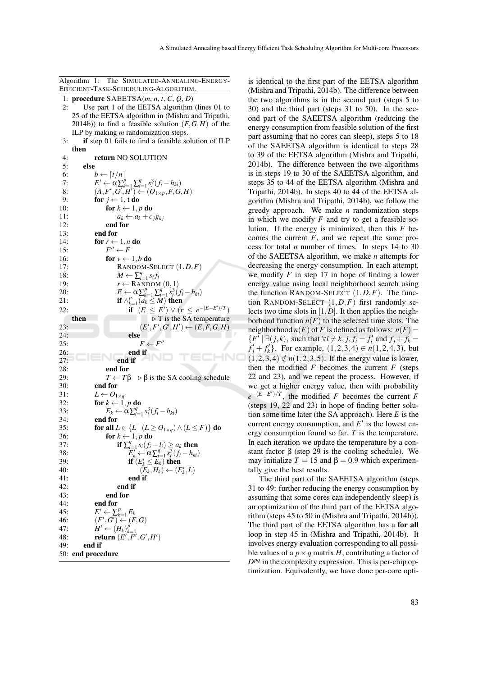Algorithm 1: The SIMULATED-ANNEALING-ENERGY-EFFICIENT-TASK-SCHEDULING-ALGORITHM.

- 1: procedure SAEETSA(*m*, *n*, *t*, *C*, *Q*, *D*) 2: Use part 1 of the EETSA algorithm (lines 01 to
- 25 of the EETSA algorithm in (Mishra and Tripathi, 2014b)) to find a feasible solution  $(F, G, H)$  of the ILP by making *m* randomization steps.
- 3: if step 01 fails to find a feasible solution of ILP then

```
4: return NO SOLUTION
 5: else
 6: b \leftarrow [t/n]<br>7: E' \leftarrow \alpha \sum_{i=1}^{n}7: E' \leftarrow \alpha \sum_{k=1}^{p} \sum_{i=1}^{q} s_i^3 (f_i - h_{ki})8: (A, F', G', H') \leftarrow (O_{1 \times p}, F, G, H)9: for j \leftarrow 1, t do
10: for k \leftarrow 1, p do
11: a_k \leftarrow a_k + c_j g_{kj}12: end for
13: end for
14: for r \leftarrow 1, n do
15: F
                F'' \leftarrow F16: for v \leftarrow 1, b do
17: RANDOM-SELECT (1,D,F)
18: M \leftarrow \sum_{i=1}^{q} s_i f_i19: r \leftarrow RANDOM (0,1)
20: E \leftarrow \alpha \sum_{k=1}^{p} \sum_{i=1}^{q} s_i^3 (f_i - h_{ki})21: if \wedge_{k=1}^p \underbrace{(a_k \leq M)}_{k=1} then
22: if (E \leq E') \vee (r \leq e^{-(E-E')/T})then \triangleright T is the SA temperature
                                \langle ' , F', G', H' \rangle \leftarrow (E, F, G, H)23: (E
24: else
25: F \leftarrow F''26: end if
                                                         HNC
27: end if
28: end for
29: T \leftarrow T\beta \Rightarrow \beta is the SA cooling schedule<br>30. end for
            end for
31: L \leftarrow O_{1 \times q}<br>32: for k \leftarrow 1.
            for k \leftarrow 1, p do
33: E_k \leftarrow \alpha \sum_{i=1}^q s_i^3 (f_i - h_{ki})34: end for
35: for all L \in \{L \mid (L \geq O_{1 \times q}) \wedge (L \leq F)\}\) do
36: for k \leftarrow 1, p do
37: if \sum_{i=1}^{q} s_i(f_i - f_i) \ge a_k then
                           \sum_{i=1}^{i} \sum_{j=1}^{i} \overline{s_i^3}(f_i-h_{ki})38: E
39: if (E'_k \leq E_k) then
40: (E_k, H_k) \leftarrow (E'_k, L)41: end if
42: end if
43: end for
44: end for
               \prime \leftarrow \sum_{k=1}^p E_k45: E
                (G') \leftarrow (F,G)46: (F
47: \overrightarrow{H'} \leftarrow (\overrightarrow{H_k})_{k=1}^p<br>
48: return (E', F', G', H')49: end if
50: end procedure
```
is identical to the first part of the EETSA algorithm (Mishra and Tripathi, 2014b). The difference between the two algorithms is in the second part (steps 5 to 30) and the third part (steps 31 to 50). In the second part of the SAEETSA algorithm (reducing the energy consumption from feasible solution of the first part assuming that no cores can sleep), steps 5 to 18 of the SAEETSA algorithm is identical to steps 28 to 39 of the EETSA algorithm (Mishra and Tripathi, 2014b). The difference between the two algorithms is in steps 19 to 30 of the SAEETSA algorithm, and steps 35 to 44 of the EETSA algorithm (Mishra and Tripathi, 2014b). In steps 40 to 44 of the EETSA algorithm (Mishra and Tripathi, 2014b), we follow the greedy approach. We make *n* randomization steps in which we modify  $F$  and try to get a feasible solution. If the energy is minimized, then this *F* becomes the current  $\overline{F}$ , and we repeat the same process for total *n* number of times. In steps 14 to 30 of the SAEETSA algorithm, we make *n* attempts for decreasing the energy consumption. In each attempt, we modify *F* in step 17 in hope of finding a lower energy value using local neighborhood search using the function RANDOM-SELECT  $(1, D, F)$ . The function RANDOM-SELECT (1,*D*,*F*) first randomly selects two time slots in [1,*D*]. It then applies the neighborhood function  $n(F)$  to the selected time slots. The neighborhood  $n(F)$  of *F* is defined as follows:  $n(F)$  =  $\{F^{\prime} | \exists (j,k), \text{ such that } \forall i \neq k, j, f_i = f'_i \text{ and } f_j + f_k = 0\}$  $f'_j + f'_k$ . For example,  $(1,2,3,4) \in n(1,2,4,3)$ , but  $(1,2,3,4) \notin n(1,2,3,5)$ . If the energy value is lower, then the modified  $F$  becomes the current  $F$  (steps 22 and 23), and we repeat the process. However, if we get a higher energy value, then with probability  $e^{-(E-E')/T}$ , the modified *F* becomes the current *F* (steps 19, 22 and 23) in hope of finding better solution some time later (the SA approach). Here *E* is the current energy consumption, and  $E'$  is the lowest energy consumption found so far. *T* is the temperature. In each iteration we update the temperature by a constant factor β (step 29 is the cooling schedule). We may initialize  $T = 15$  and  $\beta = 0.9$  which experimentally give the best results.

The third part of the SAEETSA algorithm (steps 31 to 49: further reducing the energy consumption by assuming that some cores can independently sleep) is an optimization of the third part of the EETSA algorithm (steps 45 to 50 in (Mishra and Tripathi, 2014b)). The third part of the EETSA algorithm has a for all loop in step 45 in (Mishra and Tripathi, 2014b). It involves energy evaluation corresponding to all possible values of a  $p \times q$  matrix *H*, contributing a factor of  $D^{pq}$  in the complexity expression. This is per-chip optimization. Equivalently, we have done per-core opti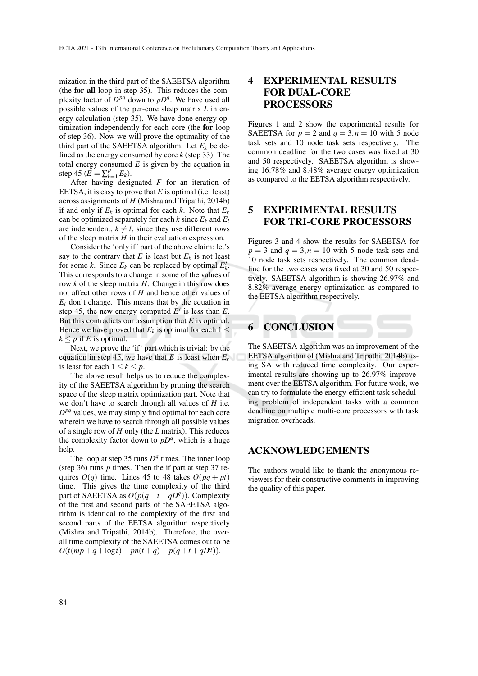mization in the third part of the SAEETSA algorithm (the for all loop in step 35). This reduces the complexity factor of  $D^{pq}$  down to  $pD^q$ . We have used all possible values of the per-core sleep matrix *L* in energy calculation (step 35). We have done energy optimization independently for each core (the for loop of step 36). Now we will prove the optimality of the third part of the SAEETSA algorithm. Let  $E_k$  be defined as the energy consumed by core *k* (step 33). The total energy consumed *E* is given by the equation in step 45 ( $\mathbf{E} = \sum_{k=1}^{p}$  $_{k=1}^{p}E_{k}$ ).

After having designated *F* for an iteration of EETSA, it is easy to prove that *E* is optimal (i.e. least) across assignments of *H* (Mishra and Tripathi, 2014b) if and only if  $E_k$  is optimal for each  $k$ . Note that  $E_k$ can be optimized separately for each  $k$  since  $E_k$  and  $E_l$ are independent,  $k \neq l$ , since they use different rows of the sleep matrix *H* in their evaluation expression.

Consider the 'only if' part of the above claim: let's say to the contrary that  $E$  is least but  $E_k$  is not least for some *k*. Since  $E_k$  can be replaced by optimal  $E'_k$ . This corresponds to a change in some of the values of row *k* of the sleep matrix *H*. Change in this row does not affect other rows of *H* and hence other values of  $E_l$  don't change. This means that by the equation in step 45, the new energy computed  $E'$  is less than  $E$ . But this contradicts our assumption that *E* is optimal. Hence we have proved that  $E_k$  is optimal for each  $1 \leq$  $k < p$  if *E* is optimal.

Next, we prove the 'if' part which is trivial: by the equation in step 45, we have that *E* is least when *E<sup>k</sup>* is least for each  $1 \leq k \leq p$ .

The above result helps us to reduce the complexity of the SAEETSA algorithm by pruning the search space of the sleep matrix optimization part. Note that we don't have to search through all values of *H* i.e.  $D^{pq}$  values, we may simply find optimal for each core wherein we have to search through all possible values of a single row of *H* only (the *L* matrix). This reduces the complexity factor down to  $pD<sup>q</sup>$ , which is a huge help.

The loop at step 35 runs  $D<sup>q</sup>$  times. The inner loop (step 36) runs *p* times. Then the if part at step 37 requires  $O(q)$  time. Lines 45 to 48 takes  $O(pq + pt)$ time. This gives the time complexity of the third part of SAEETSA as  $O(p(q+t+qD^q))$ . Complexity of the first and second parts of the SAEETSA algorithm is identical to the complexity of the first and second parts of the EETSA algorithm respectively (Mishra and Tripathi, 2014b). Therefore, the overall time complexity of the SAEETSA comes out to be  $O(t(mp+q+\log t) + pn(t+q) + p(q+t+qD^q)).$ 

## 4 EXPERIMENTAL RESULTS FOR DUAL-CORE **PROCESSORS**

Figures 1 and 2 show the experimental results for SAEETSA for  $p = 2$  and  $q = 3, n = 10$  with 5 node task sets and 10 node task sets respectively. The common deadline for the two cases was fixed at 30 and 50 respectively. SAEETSA algorithm is showing 16.78% and 8.48% average energy optimization as compared to the EETSA algorithm respectively.

### 5 EXPERIMENTAL RESULTS FOR TRI-CORE PROCESSORS

Figures 3 and 4 show the results for SAEETSA for  $p = 3$  and  $q = 3, n = 10$  with 5 node task sets and 10 node task sets respectively. The common deadline for the two cases was fixed at 30 and 50 respectively. SAEETSA algorithm is showing 26.97% and 8.82% average energy optimization as compared to the EETSA algorithm respectively.

## **CONCLUSION**

The SAEETSA algorithm was an improvement of the EETSA algorithm of (Mishra and Tripathi, 2014b) using SA with reduced time complexity. Our experimental results are showing up to 26.97% improvement over the EETSA algorithm. For future work, we can try to formulate the energy-efficient task scheduling problem of independent tasks with a common deadline on multiple multi-core processors with task migration overheads.

### ACKNOWLEDGEMENTS

The authors would like to thank the anonymous reviewers for their constructive comments in improving the quality of this paper.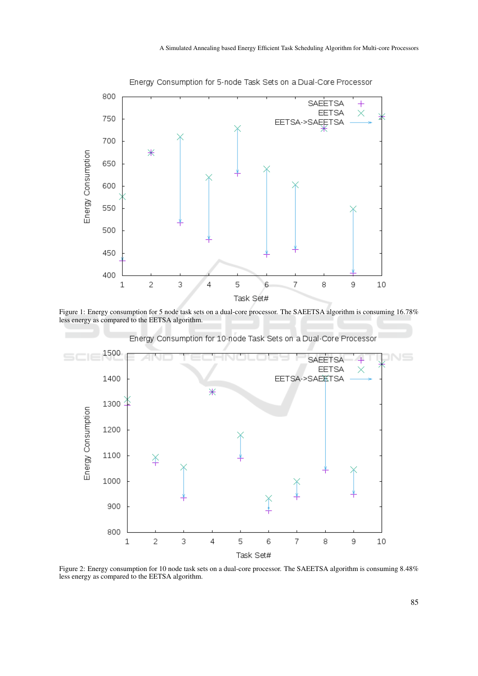

Figure 1: Energy consumption for 5 node task sets on a dual-core processor. The SAEETSA algorithm is consuming 16.78% less energy as compared to the EETSA algorithm.

Energy Consumption for 10-node Task Sets on a Dual-Core Processor



Figure 2: Energy consumption for 10 node task sets on a dual-core processor. The SAEETSA algorithm is consuming 8.48% less energy as compared to the EETSA algorithm.

Energy Consumption for 5-node Task Sets on a Dual-Core Processor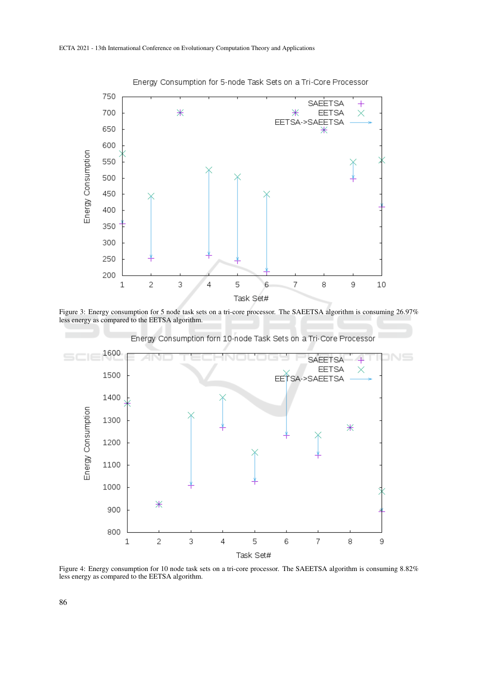

Energy Consumption for 5-node Task Sets on a Tri-Core Processor

Figure 3: Energy consumption for 5 node task sets on a tri-core processor. The SAEETSA algorithm is consuming 26.97% less energy as compared to the EETSA algorithm.

Energy Consumption forn 10-node Task Sets on a Tri-Core Processor 1600  $N \equiv$ SAEETSA  $\ddot{}$ **EETSA**  $\times$ 1500 EETSA->SAEETSA 1400 Energy Consumption 1300 Ж 1200 1100 1000 Ж 900 800 5  $\overline{7}$  $\overline{c}$ 3 6 8  $\,1\,$  $\overline{4}$ 9 Task Set#

Figure 4: Energy consumption for 10 node task sets on a tri-core processor. The SAEETSA algorithm is consuming 8.82% less energy as compared to the EETSA algorithm.